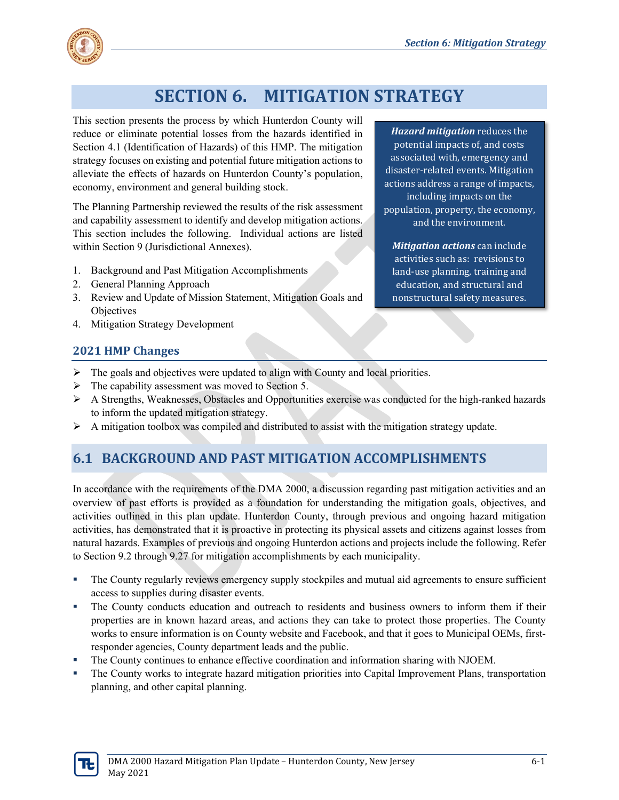

# **SECTION 6. MITIGATION STRATEGY**

This section presents the process by which Hunterdon County will reduce or eliminate potential losses from the hazards identified in Section 4.1 (Identification of Hazards) of this HMP. The mitigation strategy focuses on existing and potential future mitigation actions to alleviate the effects of hazards on Hunterdon County's population, economy, environment and general building stock.

The Planning Partnership reviewed the results of the risk assessment and capability assessment to identify and develop mitigation actions. This section includes the following. Individual actions are listed within Section 9 (Jurisdictional Annexes).

- 1. Background and Past Mitigation Accomplishments
- 2. General Planning Approach
- 3. Review and Update of Mission Statement, Mitigation Goals and **Objectives**
- 4. Mitigation Strategy Development

#### *Hazard mitigation* reduces the potential impacts of, and costs associated with, emergency and disaster-related events. Mitigation actions address a range of impacts, including impacts on the population, property, the economy, and the environment.

*Mitigation actions* can include activities such as: revisions to land-use planning, training and education, and structural and nonstructural safety measures.

#### **2021 HMP Changes**

- $\triangleright$  The goals and objectives were updated to align with County and local priorities.
- $\triangleright$  The capability assessment was moved to Section 5.
- $\triangleright$  A Strengths, Weaknesses, Obstacles and Opportunities exercise was conducted for the high-ranked hazards to inform the updated mitigation strategy.
- $\triangleright$  A mitigation toolbox was compiled and distributed to assist with the mitigation strategy update.

### **6.1 BACKGROUND AND PAST MITIGATION ACCOMPLISHMENTS**

In accordance with the requirements of the DMA 2000, a discussion regarding past mitigation activities and an overview of past efforts is provided as a foundation for understanding the mitigation goals, objectives, and activities outlined in this plan update. Hunterdon County, through previous and ongoing hazard mitigation activities, has demonstrated that it is proactive in protecting its physical assets and citizens against losses from natural hazards. Examples of previous and ongoing Hunterdon actions and projects include the following. Refer to Section 9.2 through 9.27 for mitigation accomplishments by each municipality.

- The County regularly reviews emergency supply stockpiles and mutual aid agreements to ensure sufficient access to supplies during disaster events.
- The County conducts education and outreach to residents and business owners to inform them if their properties are in known hazard areas, and actions they can take to protect those properties. The County works to ensure information is on County website and Facebook, and that it goes to Municipal OEMs, firstresponder agencies, County department leads and the public.
- The County continues to enhance effective coordination and information sharing with NJOEM.
- The County works to integrate hazard mitigation priorities into Capital Improvement Plans, transportation planning, and other capital planning.

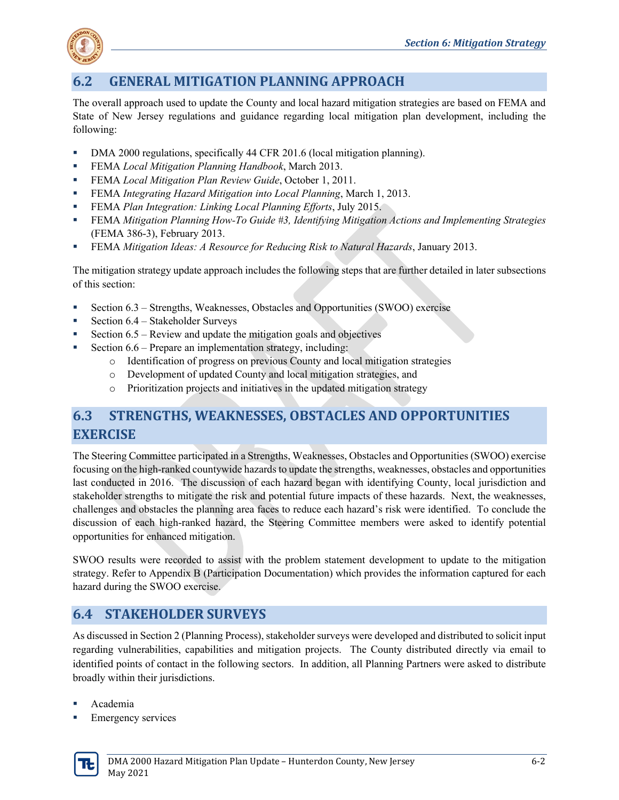

# **6.2 GENERAL MITIGATION PLANNING APPROACH**

The overall approach used to update the County and local hazard mitigation strategies are based on FEMA and State of New Jersey regulations and guidance regarding local mitigation plan development, including the following:

- DMA 2000 regulations, specifically 44 CFR 201.6 (local mitigation planning).
- FEMA *Local Mitigation Planning Handbook*, March 2013.
- FEMA *Local Mitigation Plan Review Guide*, October 1, 2011.
- FEMA *Integrating Hazard Mitigation into Local Planning*, March 1, 2013.
- FEMA *Plan Integration: Linking Local Planning Efforts*, July 2015.
- FEMA *Mitigation Planning How-To Guide #3, Identifying Mitigation Actions and Implementing Strategies* (FEMA 386-3), February 2013.
- FEMA *Mitigation Ideas: A Resource for Reducing Risk to Natural Hazards*, January 2013.

The mitigation strategy update approach includes the following steps that are further detailed in later subsections of this section:

- Section  $6.3$  Strengths, Weaknesses, Obstacles and Opportunities (SWOO) exercise
- Section  $6.4$  Stakeholder Surveys
- Section 6.5 Review and update the mitigation goals and objectives
- Section 6.6 Prepare an implementation strategy, including:
	- o Identification of progress on previous County and local mitigation strategies
	- o Development of updated County and local mitigation strategies, and
	- o Prioritization projects and initiatives in the updated mitigation strategy

# **6.3 STRENGTHS, WEAKNESSES, OBSTACLES AND OPPORTUNITIES EXERCISE**

The Steering Committee participated in a Strengths, Weaknesses, Obstacles and Opportunities (SWOO) exercise focusing on the high-ranked countywide hazards to update the strengths, weaknesses, obstacles and opportunities last conducted in 2016. The discussion of each hazard began with identifying County, local jurisdiction and stakeholder strengths to mitigate the risk and potential future impacts of these hazards. Next, the weaknesses, challenges and obstacles the planning area faces to reduce each hazard's risk were identified. To conclude the discussion of each high-ranked hazard, the Steering Committee members were asked to identify potential opportunities for enhanced mitigation.

SWOO results were recorded to assist with the problem statement development to update to the mitigation strategy. Refer to Appendix B (Participation Documentation) which provides the information captured for each hazard during the SWOO exercise.

# **6.4 STAKEHOLDER SURVEYS**

As discussed in Section 2 (Planning Process), stakeholder surveys were developed and distributed to solicit input regarding vulnerabilities, capabilities and mitigation projects. The County distributed directly via email to identified points of contact in the following sectors. In addition, all Planning Partners were asked to distribute broadly within their jurisdictions.

- Academia
- Emergency services

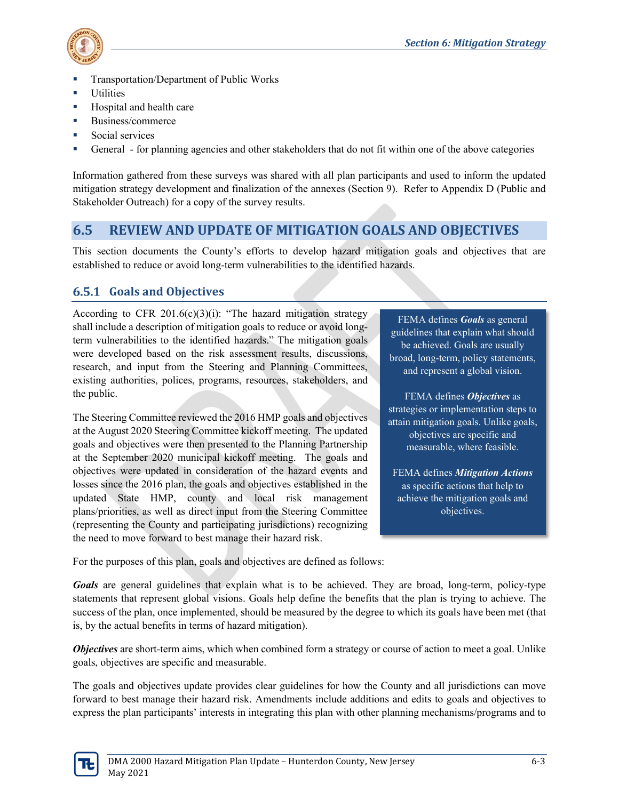

- Transportation/Department of Public Works
- **Utilities**
- Hospital and health care
- **Business/commerce**
- **Social services**
- General for planning agencies and other stakeholders that do not fit within one of the above categories

Information gathered from these surveys was shared with all plan participants and used to inform the updated mitigation strategy development and finalization of the annexes (Section 9). Refer to Appendix D (Public and Stakeholder Outreach) for a copy of the survey results.

### **6.5 REVIEW AND UPDATE OF MITIGATION GOALS AND OBJECTIVES**

This section documents the County's efforts to develop hazard mitigation goals and objectives that are established to reduce or avoid long-term vulnerabilities to the identified hazards.

#### **Goals and Objectives**

According to CFR 201.6(c)(3)(i): "The hazard mitigation strategy shall include a description of mitigation goals to reduce or avoid longterm vulnerabilities to the identified hazards." The mitigation goals were developed based on the risk assessment results, discussions, research, and input from the Steering and Planning Committees, existing authorities, polices, programs, resources, stakeholders, and the public.

The Steering Committee reviewed the 2016 HMP goals and objectives at the August 2020 Steering Committee kickoff meeting. The updated goals and objectives were then presented to the Planning Partnership at the September 2020 municipal kickoff meeting. The goals and objectives were updated in consideration of the hazard events and losses since the 2016 plan, the goals and objectives established in the updated State HMP, county and local risk management plans/priorities, as well as direct input from the Steering Committee (representing the County and participating jurisdictions) recognizing the need to move forward to best manage their hazard risk.

FEMA defines *Goals* as general guidelines that explain what should be achieved. Goals are usually broad, long-term, policy statements, and represent a global vision.

FEMA defines *Objectives* as strategies or implementation steps to attain mitigation goals. Unlike goals, objectives are specific and measurable, where feasible.

FEMA defines *Mitigation Actions* as specific actions that help to achieve the mitigation goals and objectives.

For the purposes of this plan, goals and objectives are defined as follows:

*Goals* are general guidelines that explain what is to be achieved. They are broad, long-term, policy-type statements that represent global visions. Goals help define the benefits that the plan is trying to achieve. The success of the plan, once implemented, should be measured by the degree to which its goals have been met (that is, by the actual benefits in terms of hazard mitigation).

*Objectives* are short-term aims, which when combined form a strategy or course of action to meet a goal. Unlike goals, objectives are specific and measurable.

The goals and objectives update provides clear guidelines for how the County and all jurisdictions can move forward to best manage their hazard risk. Amendments include additions and edits to goals and objectives to express the plan participants' interests in integrating this plan with other planning mechanisms/programs and to

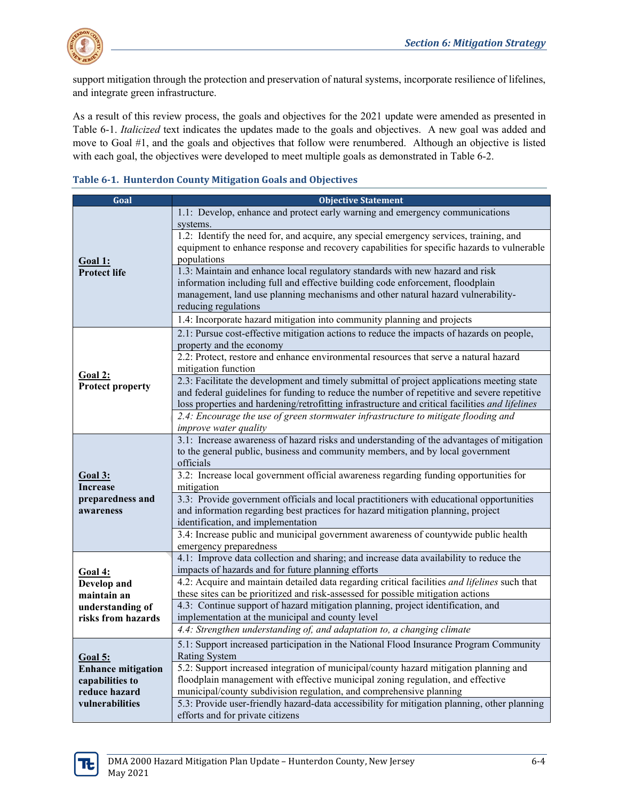

support mitigation through the protection and preservation of natural systems, incorporate resilience of lifelines, and integrate green infrastructure.

As a result of this review process, the goals and objectives for the 2021 update were amended as presented in Table 6-1. *Italicized* text indicates the updates made to the goals and objectives. A new goal was added and move to Goal #1, and the goals and objectives that follow were renumbered. Although an objective is listed with each goal, the objectives were developed to meet multiple goals as demonstrated in Table 6-2.

|  | Table 6-1. Hunterdon County Mitigation Goals and Objectives |  |  |  |  |
|--|-------------------------------------------------------------|--|--|--|--|
|--|-------------------------------------------------------------|--|--|--|--|

| Goal                      | <b>Objective Statement</b>                                                                                         |  |  |
|---------------------------|--------------------------------------------------------------------------------------------------------------------|--|--|
|                           | 1.1: Develop, enhance and protect early warning and emergency communications                                       |  |  |
|                           | systems.                                                                                                           |  |  |
|                           | 1.2: Identify the need for, and acquire, any special emergency services, training, and                             |  |  |
|                           | equipment to enhance response and recovery capabilities for specific hazards to vulnerable                         |  |  |
| Goal 1:                   | populations                                                                                                        |  |  |
| <b>Protect life</b>       | 1.3: Maintain and enhance local regulatory standards with new hazard and risk                                      |  |  |
|                           | information including full and effective building code enforcement, floodplain                                     |  |  |
|                           | management, land use planning mechanisms and other natural hazard vulnerability-                                   |  |  |
|                           | reducing regulations                                                                                               |  |  |
|                           | 1.4: Incorporate hazard mitigation into community planning and projects                                            |  |  |
|                           | 2.1: Pursue cost-effective mitigation actions to reduce the impacts of hazards on people,                          |  |  |
|                           | property and the economy                                                                                           |  |  |
|                           | 2.2: Protect, restore and enhance environmental resources that serve a natural hazard                              |  |  |
| Goal 2:                   | mitigation function                                                                                                |  |  |
| <b>Protect property</b>   | 2.3: Facilitate the development and timely submittal of project applications meeting state                         |  |  |
|                           | and federal guidelines for funding to reduce the number of repetitive and severe repetitive                        |  |  |
|                           | loss properties and hardening/retrofitting infrastructure and critical facilities and lifelines                    |  |  |
|                           | 2.4: Encourage the use of green stormwater infrastructure to mitigate flooding and                                 |  |  |
|                           | improve water quality<br>3.1: Increase awareness of hazard risks and understanding of the advantages of mitigation |  |  |
|                           | to the general public, business and community members, and by local government                                     |  |  |
|                           | officials                                                                                                          |  |  |
| <u>Goal 3:</u>            | 3.2: Increase local government official awareness regarding funding opportunities for                              |  |  |
| Increase                  | mitigation                                                                                                         |  |  |
| preparedness and          | 3.3: Provide government officials and local practitioners with educational opportunities                           |  |  |
| awareness                 | and information regarding best practices for hazard mitigation planning, project                                   |  |  |
|                           | identification, and implementation                                                                                 |  |  |
|                           | 3.4: Increase public and municipal government awareness of countywide public health                                |  |  |
|                           | emergency preparedness                                                                                             |  |  |
|                           | 4.1: Improve data collection and sharing; and increase data availability to reduce the                             |  |  |
| <b>Goal 4:</b>            | impacts of hazards and for future planning efforts                                                                 |  |  |
| Develop and               | 4.2: Acquire and maintain detailed data regarding critical facilities and lifelines such that                      |  |  |
| maintain an               | these sites can be prioritized and risk-assessed for possible mitigation actions                                   |  |  |
| understanding of          | 4.3: Continue support of hazard mitigation planning, project identification, and                                   |  |  |
| risks from hazards        | implementation at the municipal and county level                                                                   |  |  |
|                           | 4.4: Strengthen understanding of, and adaptation to, a changing climate                                            |  |  |
|                           | 5.1: Support increased participation in the National Flood Insurance Program Community                             |  |  |
| <b>Goal 5:</b>            | <b>Rating System</b>                                                                                               |  |  |
| <b>Enhance mitigation</b> | 5.2: Support increased integration of municipal/county hazard mitigation planning and                              |  |  |
| capabilities to           | floodplain management with effective municipal zoning regulation, and effective                                    |  |  |
| reduce hazard             | municipal/county subdivision regulation, and comprehensive planning                                                |  |  |
| vulnerabilities           | 5.3: Provide user-friendly hazard-data accessibility for mitigation planning, other planning                       |  |  |
|                           | efforts and for private citizens                                                                                   |  |  |

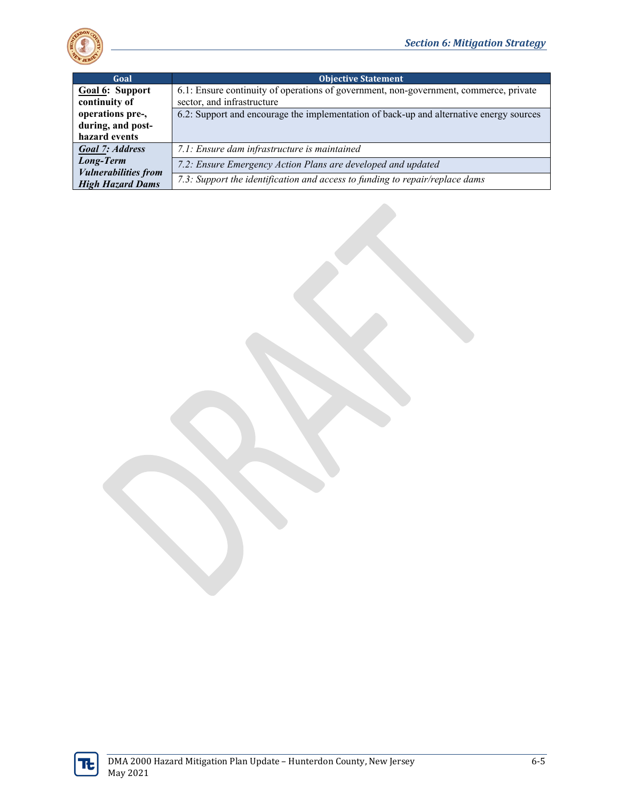

| Goal                                                   | <b>Objective Statement</b>                                                              |  |  |  |
|--------------------------------------------------------|-----------------------------------------------------------------------------------------|--|--|--|
| Goal 6: Support                                        | 6.1: Ensure continuity of operations of government, non-government, commerce, private   |  |  |  |
| continuity of                                          | sector, and infrastructure                                                              |  |  |  |
| operations pre-,                                       | 6.2: Support and encourage the implementation of back-up and alternative energy sources |  |  |  |
| during, and post-                                      |                                                                                         |  |  |  |
| hazard events                                          |                                                                                         |  |  |  |
| <b>Goal 7: Address</b>                                 | 7.1: Ensure dam infrastructure is maintained                                            |  |  |  |
| Long-Term                                              | 7.2: Ensure Emergency Action Plans are developed and updated                            |  |  |  |
| <b>Vulnerabilities from</b><br><b>High Hazard Dams</b> | 7.3: Support the identification and access to funding to repair/replace dams            |  |  |  |

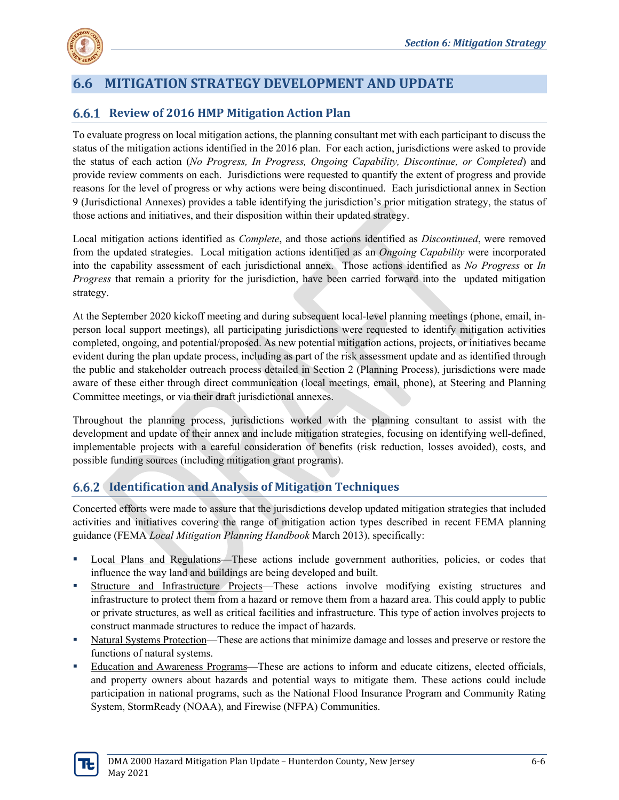

### **6.6 MITIGATION STRATEGY DEVELOPMENT AND UPDATE**

#### **Review of 2016 HMP Mitigation Action Plan**

To evaluate progress on local mitigation actions, the planning consultant met with each participant to discuss the status of the mitigation actions identified in the 2016 plan. For each action, jurisdictions were asked to provide the status of each action (*No Progress, In Progress, Ongoing Capability, Discontinue, or Completed*) and provide review comments on each. Jurisdictions were requested to quantify the extent of progress and provide reasons for the level of progress or why actions were being discontinued. Each jurisdictional annex in Section 9 (Jurisdictional Annexes) provides a table identifying the jurisdiction's prior mitigation strategy, the status of those actions and initiatives, and their disposition within their updated strategy.

Local mitigation actions identified as *Complete*, and those actions identified as *Discontinued*, were removed from the updated strategies. Local mitigation actions identified as an *Ongoing Capability* were incorporated into the capability assessment of each jurisdictional annex. Those actions identified as *No Progress* or *In Progress* that remain a priority for the jurisdiction, have been carried forward into the updated mitigation strategy.

At the September 2020 kickoff meeting and during subsequent local-level planning meetings (phone, email, inperson local support meetings), all participating jurisdictions were requested to identify mitigation activities completed, ongoing, and potential/proposed. As new potential mitigation actions, projects, or initiatives became evident during the plan update process, including as part of the risk assessment update and as identified through the public and stakeholder outreach process detailed in Section 2 (Planning Process), jurisdictions were made aware of these either through direct communication (local meetings, email, phone), at Steering and Planning Committee meetings, or via their draft jurisdictional annexes.

Throughout the planning process, jurisdictions worked with the planning consultant to assist with the development and update of their annex and include mitigation strategies, focusing on identifying well-defined, implementable projects with a careful consideration of benefits (risk reduction, losses avoided), costs, and possible funding sources (including mitigation grant programs).

#### **Identification and Analysis of Mitigation Techniques**

Concerted efforts were made to assure that the jurisdictions develop updated mitigation strategies that included activities and initiatives covering the range of mitigation action types described in recent FEMA planning guidance (FEMA *Local Mitigation Planning Handbook* March 2013), specifically:

- Local Plans and Regulations—These actions include government authorities, policies, or codes that influence the way land and buildings are being developed and built.
- Structure and Infrastructure Projects—These actions involve modifying existing structures and infrastructure to protect them from a hazard or remove them from a hazard area. This could apply to public or private structures, as well as critical facilities and infrastructure. This type of action involves projects to construct manmade structures to reduce the impact of hazards.
- Natural Systems Protection—These are actions that minimize damage and losses and preserve or restore the functions of natural systems.
- Education and Awareness Programs—These are actions to inform and educate citizens, elected officials, and property owners about hazards and potential ways to mitigate them. These actions could include participation in national programs, such as the National Flood Insurance Program and Community Rating System, StormReady (NOAA), and Firewise (NFPA) Communities.

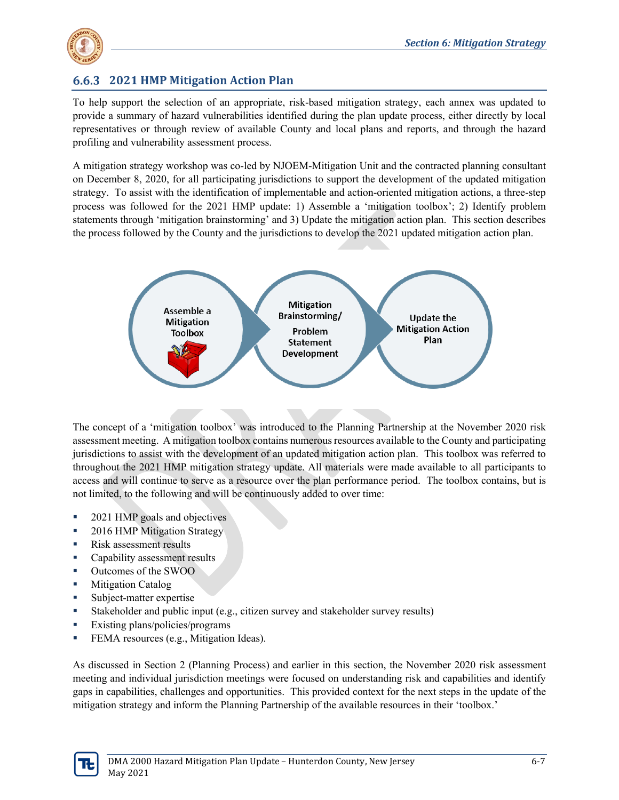

#### **2021 HMP Mitigation Action Plan**

To help support the selection of an appropriate, risk-based mitigation strategy, each annex was updated to provide a summary of hazard vulnerabilities identified during the plan update process, either directly by local representatives or through review of available County and local plans and reports, and through the hazard profiling and vulnerability assessment process.

A mitigation strategy workshop was co-led by NJOEM-Mitigation Unit and the contracted planning consultant on December 8, 2020, for all participating jurisdictions to support the development of the updated mitigation strategy. To assist with the identification of implementable and action-oriented mitigation actions, a three-step process was followed for the 2021 HMP update: 1) Assemble a 'mitigation toolbox'; 2) Identify problem statements through 'mitigation brainstorming' and 3) Update the mitigation action plan. This section describes the process followed by the County and the jurisdictions to develop the 2021 updated mitigation action plan.



The concept of a 'mitigation toolbox' was introduced to the Planning Partnership at the November 2020 risk assessment meeting. A mitigation toolbox contains numerous resources available to the County and participating jurisdictions to assist with the development of an updated mitigation action plan. This toolbox was referred to throughout the 2021 HMP mitigation strategy update. All materials were made available to all participants to access and will continue to serve as a resource over the plan performance period. The toolbox contains, but is not limited, to the following and will be continuously added to over time:

- 2021 HMP goals and objectives
- 2016 HMP Mitigation Strategy
- Risk assessment results
- Capability assessment results
- Outcomes of the SWOO
- **Mitigation Catalog**
- Subject-matter expertise
- Stakeholder and public input (e.g., citizen survey and stakeholder survey results)
- Existing plans/policies/programs
- **FEMA** resources (e.g., Mitigation Ideas).

As discussed in Section 2 (Planning Process) and earlier in this section, the November 2020 risk assessment meeting and individual jurisdiction meetings were focused on understanding risk and capabilities and identify gaps in capabilities, challenges and opportunities. This provided context for the next steps in the update of the mitigation strategy and inform the Planning Partnership of the available resources in their 'toolbox.'

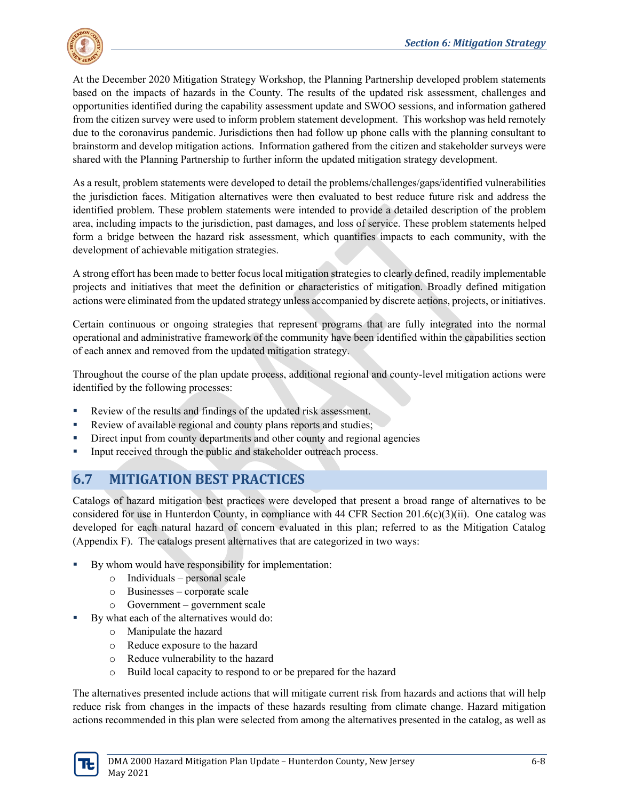

At the December 2020 Mitigation Strategy Workshop, the Planning Partnership developed problem statements based on the impacts of hazards in the County. The results of the updated risk assessment, challenges and opportunities identified during the capability assessment update and SWOO sessions, and information gathered from the citizen survey were used to inform problem statement development. This workshop was held remotely due to the coronavirus pandemic. Jurisdictions then had follow up phone calls with the planning consultant to brainstorm and develop mitigation actions. Information gathered from the citizen and stakeholder surveys were shared with the Planning Partnership to further inform the updated mitigation strategy development.

As a result, problem statements were developed to detail the problems/challenges/gaps/identified vulnerabilities the jurisdiction faces. Mitigation alternatives were then evaluated to best reduce future risk and address the identified problem. These problem statements were intended to provide a detailed description of the problem area, including impacts to the jurisdiction, past damages, and loss of service. These problem statements helped form a bridge between the hazard risk assessment, which quantifies impacts to each community, with the development of achievable mitigation strategies.

A strong effort has been made to better focus local mitigation strategies to clearly defined, readily implementable projects and initiatives that meet the definition or characteristics of mitigation. Broadly defined mitigation actions were eliminated from the updated strategy unless accompanied by discrete actions, projects, or initiatives.

Certain continuous or ongoing strategies that represent programs that are fully integrated into the normal operational and administrative framework of the community have been identified within the capabilities section of each annex and removed from the updated mitigation strategy.

Throughout the course of the plan update process, additional regional and county-level mitigation actions were identified by the following processes:

- Review of the results and findings of the updated risk assessment.
- Review of available regional and county plans reports and studies;
- Direct input from county departments and other county and regional agencies
- Input received through the public and stakeholder outreach process.

# **6.7 MITIGATION BEST PRACTICES**

Catalogs of hazard mitigation best practices were developed that present a broad range of alternatives to be considered for use in Hunterdon County, in compliance with 44 CFR Section  $201.6(c)(3)(ii)$ . One catalog was developed for each natural hazard of concern evaluated in this plan; referred to as the Mitigation Catalog (Appendix F). The catalogs present alternatives that are categorized in two ways:

- By whom would have responsibility for implementation:
	- o Individuals personal scale
	- o Businesses corporate scale
	- o Government government scale
- By what each of the alternatives would do:
	- o Manipulate the hazard
	- o Reduce exposure to the hazard
	- o Reduce vulnerability to the hazard
	- o Build local capacity to respond to or be prepared for the hazard

The alternatives presented include actions that will mitigate current risk from hazards and actions that will help reduce risk from changes in the impacts of these hazards resulting from climate change. Hazard mitigation actions recommended in this plan were selected from among the alternatives presented in the catalog, as well as

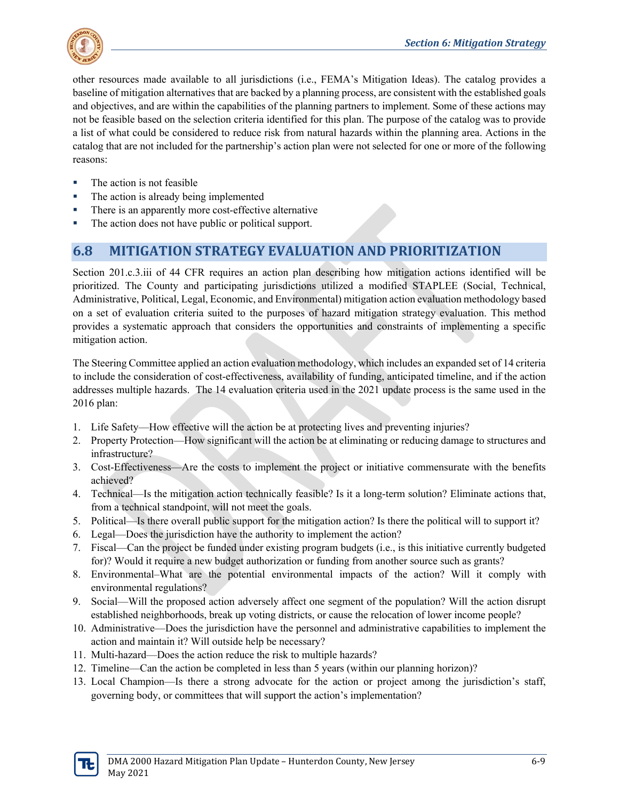

other resources made available to all jurisdictions (i.e., FEMA's Mitigation Ideas). The catalog provides a baseline of mitigation alternatives that are backed by a planning process, are consistent with the established goals and objectives, and are within the capabilities of the planning partners to implement. Some of these actions may not be feasible based on the selection criteria identified for this plan. The purpose of the catalog was to provide a list of what could be considered to reduce risk from natural hazards within the planning area. Actions in the catalog that are not included for the partnership's action plan were not selected for one or more of the following reasons:

- The action is not feasible
- The action is already being implemented
- There is an apparently more cost-effective alternative
- The action does not have public or political support.

# **6.8 MITIGATION STRATEGY EVALUATION AND PRIORITIZATION**

Section 201.c.3.iii of 44 CFR requires an action plan describing how mitigation actions identified will be prioritized. The County and participating jurisdictions utilized a modified STAPLEE (Social, Technical, Administrative, Political, Legal, Economic, and Environmental) mitigation action evaluation methodology based on a set of evaluation criteria suited to the purposes of hazard mitigation strategy evaluation. This method provides a systematic approach that considers the opportunities and constraints of implementing a specific mitigation action.

The Steering Committee applied an action evaluation methodology, which includes an expanded set of 14 criteria to include the consideration of cost-effectiveness, availability of funding, anticipated timeline, and if the action addresses multiple hazards. The 14 evaluation criteria used in the 2021 update process is the same used in the 2016 plan:

- 1. Life Safety—How effective will the action be at protecting lives and preventing injuries?
- 2. Property Protection—How significant will the action be at eliminating or reducing damage to structures and infrastructure?
- 3. Cost-Effectiveness—Are the costs to implement the project or initiative commensurate with the benefits achieved?
- 4. Technical—Is the mitigation action technically feasible? Is it a long-term solution? Eliminate actions that, from a technical standpoint, will not meet the goals.
- 5. Political—Is there overall public support for the mitigation action? Is there the political will to support it?
- 6. Legal—Does the jurisdiction have the authority to implement the action?
- 7. Fiscal—Can the project be funded under existing program budgets (i.e., is this initiative currently budgeted for)? Would it require a new budget authorization or funding from another source such as grants?
- 8. Environmental–What are the potential environmental impacts of the action? Will it comply with environmental regulations?
- 9. Social—Will the proposed action adversely affect one segment of the population? Will the action disrupt established neighborhoods, break up voting districts, or cause the relocation of lower income people?
- 10. Administrative—Does the jurisdiction have the personnel and administrative capabilities to implement the action and maintain it? Will outside help be necessary?
- 11. Multi-hazard—Does the action reduce the risk to multiple hazards?
- 12. Timeline—Can the action be completed in less than 5 years (within our planning horizon)?
- 13. Local Champion—Is there a strong advocate for the action or project among the jurisdiction's staff, governing body, or committees that will support the action's implementation?

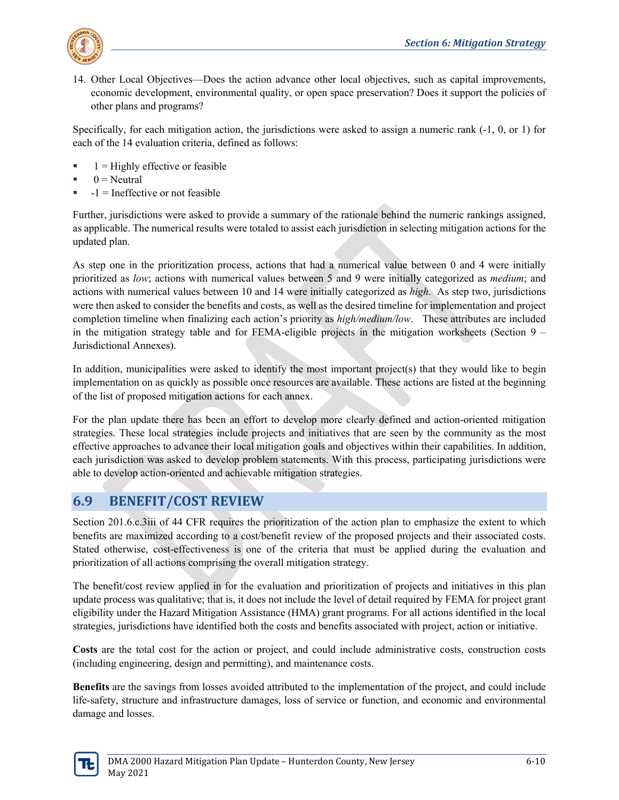

14. Other Local Objectives—Does the action advance other local objectives, such as capital improvements, economic development, environmental quality, or open space preservation? Does it support the policies of other plans and programs?

Specifically, for each mitigation action, the jurisdictions were asked to assign a numeric rank (-1, 0, or 1) for each of the 14 evaluation criteria, defined as follows:

- $1$  = Highly effective or feasible
- $0 =$  Neutral
- -1 = Ineffective or not feasible

Further, jurisdictions were asked to provide a summary of the rationale behind the numeric rankings assigned, as applicable. The numerical results were totaled to assist each jurisdiction in selecting mitigation actions for the updated plan.

As step one in the prioritization process, actions that had a numerical value between 0 and 4 were initially prioritized as *low*; actions with numerical values between 5 and 9 were initially categorized as *medium*; and actions with numerical values between 10 and 14 were initially categorized as *high*. As step two, jurisdictions were then asked to consider the benefits and costs, as well as the desired timeline for implementation and project completion timeline when finalizing each action's priority as *high/medium/low*. These attributes are included in the mitigation strategy table and for FEMA-eligible projects in the mitigation worksheets (Section 9 – Jurisdictional Annexes).

In addition, municipalities were asked to identify the most important project(s) that they would like to begin implementation on as quickly as possible once resources are available. These actions are listed at the beginning of the list of proposed mitigation actions for each annex.

For the plan update there has been an effort to develop more clearly defined and action-oriented mitigation strategies. These local strategies include projects and initiatives that are seen by the community as the most effective approaches to advance their local mitigation goals and objectives within their capabilities. In addition, each jurisdiction was asked to develop problem statements. With this process, participating jurisdictions were able to develop action-oriented and achievable mitigation strategies.

# **6.9 BENEFIT/COST REVIEW**

Section 201.6.c.3iii of 44 CFR requires the prioritization of the action plan to emphasize the extent to which benefits are maximized according to a cost/benefit review of the proposed projects and their associated costs. Stated otherwise, cost-effectiveness is one of the criteria that must be applied during the evaluation and prioritization of all actions comprising the overall mitigation strategy.

The benefit/cost review applied in for the evaluation and prioritization of projects and initiatives in this plan update process was qualitative; that is, it does not include the level of detail required by FEMA for project grant eligibility under the Hazard Mitigation Assistance (HMA) grant programs. For all actions identified in the local strategies, jurisdictions have identified both the costs and benefits associated with project, action or initiative.

**Costs** are the total cost for the action or project, and could include administrative costs, construction costs (including engineering, design and permitting), and maintenance costs.

**Benefits** are the savings from losses avoided attributed to the implementation of the project, and could include life-safety, structure and infrastructure damages, loss of service or function, and economic and environmental damage and losses.